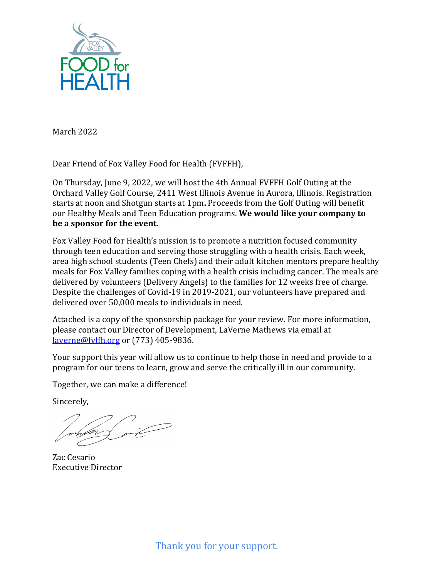

March 2022

Dear Friend of Fox Valley Food for Health (FVFFH),

On Thursday, June 9, 2022, we will host the 4th Annual FVFFH Golf Outing at the Orchard Valley Golf Course, 2411 West Illinois Avenue in Aurora, Illinois. Registration starts at noon and Shotgun starts at 1pm**.** Proceeds from the Golf Outing will benefit our Healthy Meals and Teen Education programs. **We would like your company to be a sponsor for the event.**

Fox Valley Food for Health's mission is to promote a nutrition focused community through teen education and serving those struggling with a health crisis. Each week, area high school students (Teen Chefs) and their adult kitchen mentors prepare healthy meals for Fox Valley families coping with a health crisis including cancer. The meals are delivered by volunteers (Delivery Angels) to the families for 12 weeks free of charge. Despite the challenges of Covid-19 in 2019-2021, our volunteers have prepared and delivered over 50,000 meals to individuals in need.

Attached is a copy of the sponsorship package for your review. For more information, please contact our Director of Development, LaVerne Mathews via email at [laverne@fvffh.org](mailto:laverne@fvffh.org) or (773) 405-9836.

Your support this year will allow us to continue to help those in need and provide to a program for our teens to learn, grow and serve the critically ill in our community.

Together, we can make a difference!

Sincerely,

Zac Cesario Executive Director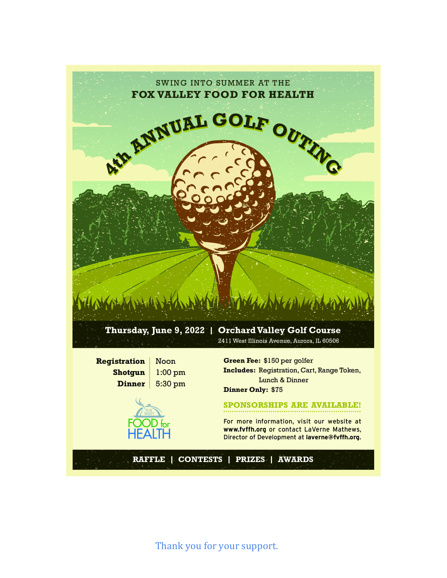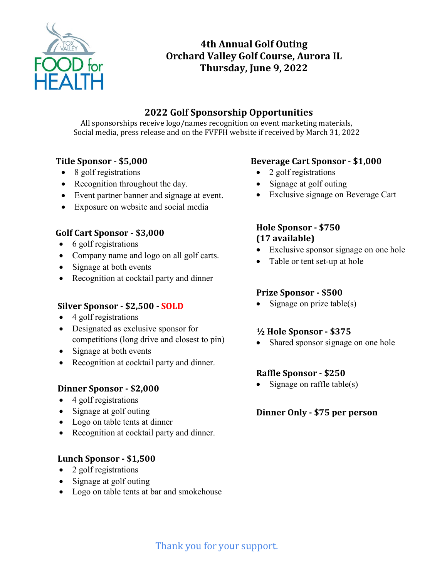

# **4th Annual Golf Outing Orchard Valley Golf Course, Aurora IL Thursday, June 9, 2022**

## **2022 Golf Sponsorship Opportunities**

All sponsorships receive logo/names recognition on event marketing materials, Social media, press release and on the FVFFH website if received by March 31, 2022

## **Title Sponsor - \$5,000**

- 8 golf registrations
- Recognition throughout the day.
- Event partner banner and signage at event.
- Exposure on website and social media

## **Golf Cart Sponsor - \$3,000**

- 6 golf registrations
- Company name and logo on all golf carts.
- Signage at both events
- Recognition at cocktail party and dinner

## **Silver Sponsor - \$2,500 - SOLD**

- 4 golf registrations
- Designated as exclusive sponsor for competitions (long drive and closest to pin)
- Signage at both events
- Recognition at cocktail party and dinner.

## **Dinner Sponsor - \$2,000**

- 4 golf registrations
- Signage at golf outing
- Logo on table tents at dinner
- Recognition at cocktail party and dinner.

## **Lunch Sponsor - \$1,500**

- 2 golf registrations
- Signage at golf outing
- Logo on table tents at bar and smokehouse

## **Beverage Cart Sponsor - \$1,000**

- 2 golf registrations
- Signage at golf outing
- Exclusive signage on Beverage Cart

## **Hole Sponsor - \$750 (17 available)**

- Exclusive sponsor signage on one hole
- Table or tent set-up at hole

## **Prize Sponsor - \$500**

• Signage on prize table(s)

## **½ Hole Sponsor - \$375**

• Shared sponsor signage on one hole

## **Raffle Sponsor - \$250**

• Signage on raffle table(s)

## **Dinner Only - \$75 per person**